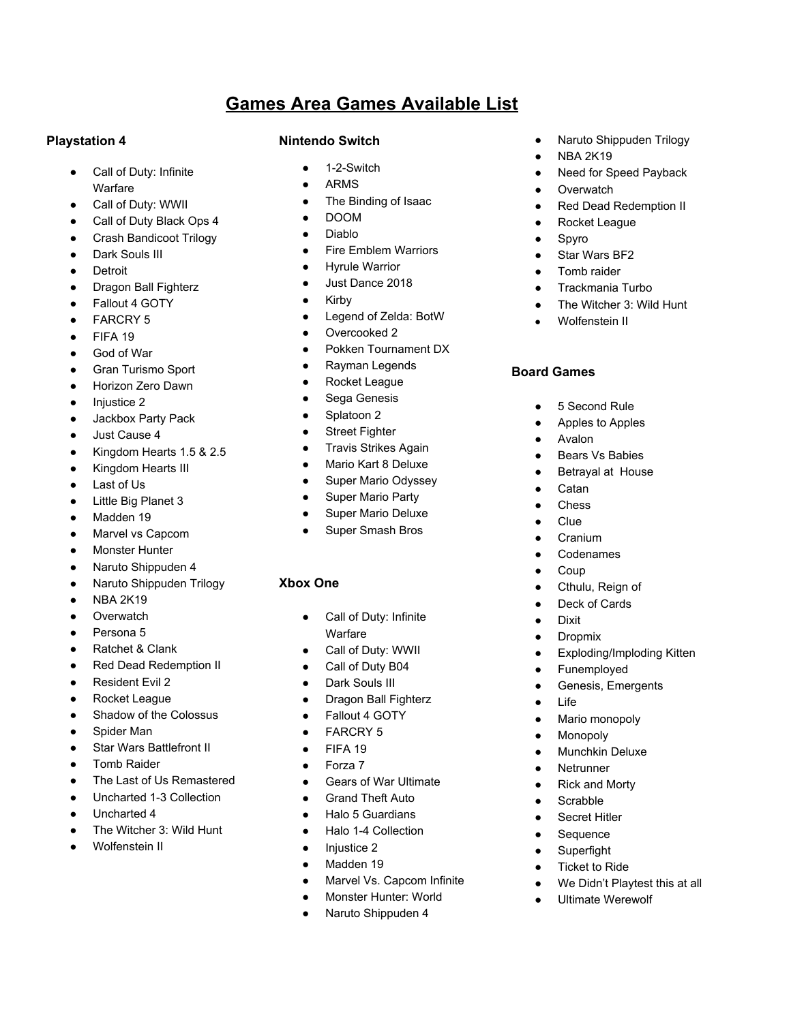# **Games Area Games Available List**

#### **Playstation 4**

- Call of Duty: Infinite Warfare
- Call of Duty: WWII
- Call of Duty Black Ops 4
- Crash Bandicoot Trilogy
- Dark Souls III
- Detroit
- **Dragon Ball Fighterz**
- Fallout 4 GOTY
- **FARCRY 5**
- FIFA 19
- God of War
- **Gran Turismo Sport**
- Horizon Zero Dawn
- Injustice 2
- Jackbox Party Pack
- Just Cause 4
- Kingdom Hearts 1.5 & 2.5
- Kingdom Hearts III
- Last of Us
- **Little Big Planet 3**
- Madden 19
- Marvel vs Capcom
- Monster Hunter
- Naruto Shippuden 4
- Naruto Shippuden Trilogy
- **NBA 2K19**
- **Overwatch**
- Persona 5
- **Ratchet & Clank**
- **Red Dead Redemption II**
- Resident Evil 2
- **Rocket League**
- Shadow of the Colossus
- Spider Man
- **Star Wars Battlefront II**
- **Tomb Raider**
- The Last of Us Remastered
- Uncharted 1-3 Collection
- Uncharted 4
- The Witcher 3: Wild Hunt
- Wolfenstein II

### **Nintendo Switch**

- 1-2-Switch
- **ARMS**
- The Binding of Isaac
- DOOM
- Diablo
- Fire Emblem Warriors
- **Hyrule Warrior**
- Just Dance 2018
- Kirby
- Legend of Zelda: BotW
- Overcooked 2
- Pokken Tournament DX
- Rayman Legends
- **Rocket League**
- Sega Genesis
- Splatoon 2
- Street Fighter
- Travis Strikes Again
- Mario Kart 8 Deluxe
- Super Mario Odyssey
- Super Mario Party
- Super Mario Deluxe
- Super Smash Bros

## **Xbox One**

- Call of Duty: Infinite **Warfare**
- Call of Duty: WWII
- Call of Duty B04
- Dark Souls III
- Dragon Ball Fighterz
- Fallout 4 GOTY
- **FARCRY 5**
- FIFA 19
- Forza 7
- Gears of War Ultimate
- **Grand Theft Auto**
- **Halo 5 Guardians**
- Halo 1-4 Collection
- Injustice 2
- Madden 19
- Marvel Vs. Capcom Infinite
- Monster Hunter: World
- Naruto Shippuden 4
- Naruto Shippuden Trilogy
- **NBA 2K19**
- Need for Speed Payback
- Overwatch
- Red Dead Redemption II
- Rocket League
- Spyro
- Star Wars BF2
- Tomb raider
- Trackmania Turbo
- The Witcher 3: Wild Hunt
- Wolfenstein II

## **Board Games**

● 5 Second Rule

Avalon

**Catan Chess** Clue Cranium **Codenames Coup** ● Cthulu, Reign of Deck of Cards

**Dixit** ● Dropmix

● Life

● Funemployed ● Genesis, Emergents

Mario monopoly **Monopoly Munchkin Deluxe Netrunner** ● Rick and Morty **Scrabble Secret Hitler** Sequence Superfight ● Ticket to Ride

● We Didn't Playtest this at all **Ultimate Werewolf** 

**Exploding/Imploding Kitten** 

Apples to Apples

**Bears Vs Babies** Betrayal at House